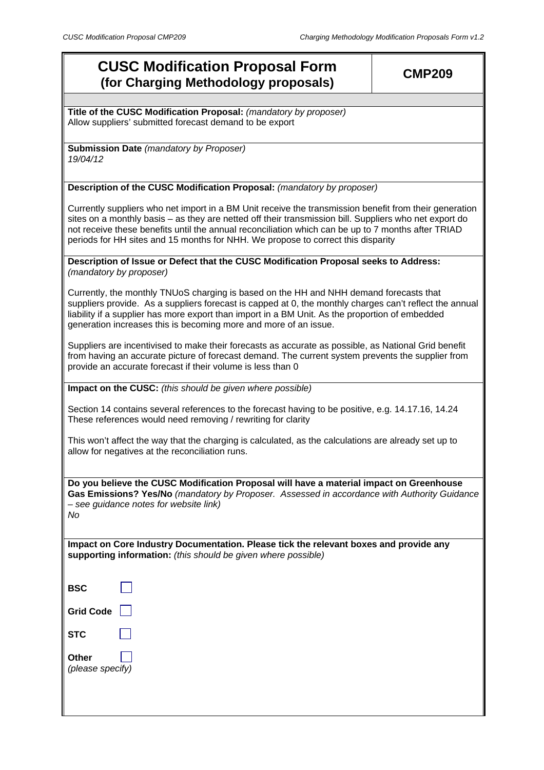# **CUSC Modification Proposal Form (for Charging Methodology proposals)**

**Title of the CUSC Modification Proposal:** *(mandatory by proposer)* Allow suppliers' submitted forecast demand to be export

**Submission Date** *(mandatory by Proposer) 19/04/12* 

## **Description of the CUSC Modification Proposal:** *(mandatory by proposer)*

Currently suppliers who net import in a BM Unit receive the transmission benefit from their generation sites on a monthly basis – as they are netted off their transmission bill. Suppliers who net export do not receive these benefits until the annual reconciliation which can be up to 7 months after TRIAD periods for HH sites and 15 months for NHH. We propose to correct this disparity

## **Description of Issue or Defect that the CUSC Modification Proposal seeks to Address:**  *(mandatory by proposer)*

Currently, the monthly TNUoS charging is based on the HH and NHH demand forecasts that suppliers provide. As a suppliers forecast is capped at 0, the monthly charges can't reflect the annual liability if a supplier has more export than import in a BM Unit. As the proportion of embedded generation increases this is becoming more and more of an issue.

Suppliers are incentivised to make their forecasts as accurate as possible, as National Grid benefit from having an accurate picture of forecast demand. The current system prevents the supplier from provide an accurate forecast if their volume is less than 0

**Impact on the CUSC:** *(this should be given where possible)*

Section 14 contains several references to the forecast having to be positive, e.g. 14.17.16, 14.24 These references would need removing / rewriting for clarity

This won't affect the way that the charging is calculated, as the calculations are already set up to allow for negatives at the reconciliation runs.

**Do you believe the CUSC Modification Proposal will have a material impact on Greenhouse Gas Emissions? Yes/No** *(mandatory by Proposer. Assessed in accordance with Authority Guidance – see guidance notes for website link) No*

**Impact on Core Industry Documentation. Please tick the relevant boxes and provide any supporting information:** *(this should be given where possible)*

| BSC |  |
|-----|--|

| <b>Grid Code</b> |
|------------------|

**STC** 

**Other**  *(please specify)*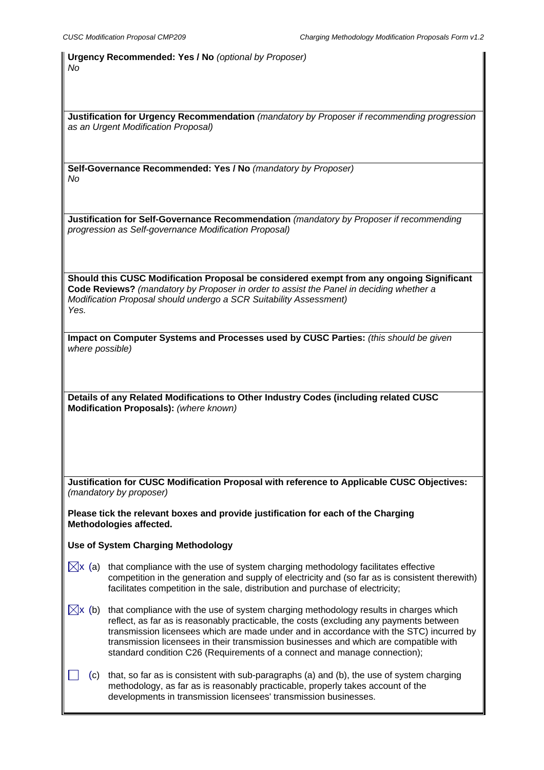**Urgency Recommended: Yes / No** *(optional by Proposer) No*

**Justification for Urgency Recommendation** *(mandatory by Proposer if recommending progression as an Urgent Modification Proposal)* 

**Self-Governance Recommended: Yes / No** *(mandatory by Proposer) No*

**Justification for Self-Governance Recommendation** *(mandatory by Proposer if recommending progression as Self-governance Modification Proposal)*

**Should this CUSC Modification Proposal be considered exempt from any ongoing Significant Code Reviews?** *(mandatory by Proposer in order to assist the Panel in deciding whether a Modification Proposal should undergo a SCR Suitability Assessment) Yes.*

| Impact on Computer Systems and Processes used by CUSC Parties: (this should be given |  |
|--------------------------------------------------------------------------------------|--|
| where possible)                                                                      |  |

**Details of any Related Modifications to Other Industry Codes (including related CUSC Modification Proposals):** *(where known)*

**Justification for CUSC Modification Proposal with reference to Applicable CUSC Objectives:**  *(mandatory by proposer)* 

**Please tick the relevant boxes and provide justification for each of the Charging Methodologies affected.** 

**Use of System Charging Methodology** 

- $\overline{\times}$  (a) that compliance with the use of system charging methodology facilitates effective competition in the generation and supply of electricity and (so far as is consistent therewith) facilitates competition in the sale, distribution and purchase of electricity;
- $\boxtimes$ x (b) that compliance with the use of system charging methodology results in charges which reflect, as far as is reasonably practicable, the costs (excluding any payments between transmission licensees which are made under and in accordance with the STC) incurred by transmission licensees in their transmission businesses and which are compatible with standard condition C26 (Requirements of a connect and manage connection);
- (c) that, so far as is consistent with sub-paragraphs (a) and (b), the use of system charging methodology, as far as is reasonably practicable, properly takes account of the developments in transmission licensees' transmission businesses.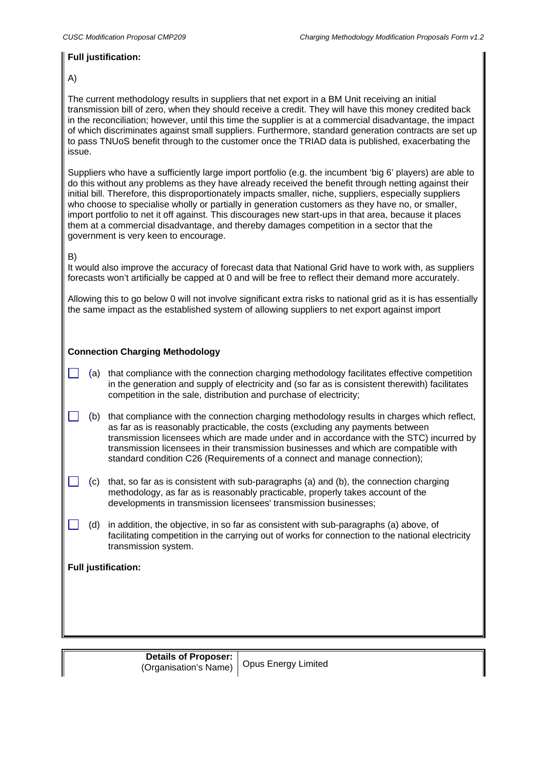## **Full justification:**

## A)

The current methodology results in suppliers that net export in a BM Unit receiving an initial transmission bill of zero, when they should receive a credit. They will have this money credited back in the reconciliation; however, until this time the supplier is at a commercial disadvantage, the impact of which discriminates against small suppliers. Furthermore, standard generation contracts are set up to pass TNUoS benefit through to the customer once the TRIAD data is published, exacerbating the issue.

Suppliers who have a sufficiently large import portfolio (e.g. the incumbent 'big 6' players) are able to do this without any problems as they have already received the benefit through netting against their initial bill. Therefore, this disproportionately impacts smaller, niche, suppliers, especially suppliers who choose to specialise wholly or partially in generation customers as they have no, or smaller, import portfolio to net it off against. This discourages new start-ups in that area, because it places them at a commercial disadvantage, and thereby damages competition in a sector that the government is very keen to encourage.

## B)

It would also improve the accuracy of forecast data that National Grid have to work with, as suppliers forecasts won't artificially be capped at 0 and will be free to reflect their demand more accurately.

Allowing this to go below 0 will not involve significant extra risks to national grid as it is has essentially the same impact as the established system of allowing suppliers to net export against import

## **Connection Charging Methodology**

- (a) that compliance with the connection charging methodology facilitates effective competition in the generation and supply of electricity and (so far as is consistent therewith) facilitates competition in the sale, distribution and purchase of electricity;
- $\Box$  (b) that compliance with the connection charging methodology results in charges which reflect, as far as is reasonably practicable, the costs (excluding any payments between transmission licensees which are made under and in accordance with the STC) incurred by transmission licensees in their transmission businesses and which are compatible with standard condition C26 (Requirements of a connect and manage connection);
- $\Box$  (c) that, so far as is consistent with sub-paragraphs (a) and (b), the connection charging methodology, as far as is reasonably practicable, properly takes account of the developments in transmission licensees' transmission businesses;
	- (d) in addition, the objective, in so far as consistent with sub-paragraphs (a) above, of facilitating competition in the carrying out of works for connection to the national electricity transmission system.

## **Full justification:**

 $\Box$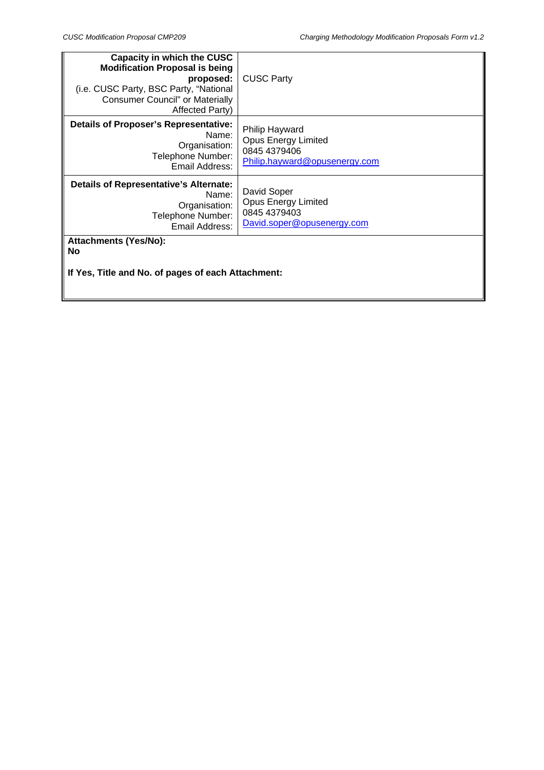| <b>Capacity in which the CUSC</b><br><b>Modification Proposal is being</b><br>proposed:<br>(i.e. CUSC Party, BSC Party, "National<br><b>Consumer Council" or Materially</b><br>Affected Party) | <b>CUSC Party</b>                                                                             |  |
|------------------------------------------------------------------------------------------------------------------------------------------------------------------------------------------------|-----------------------------------------------------------------------------------------------|--|
| <b>Details of Proposer's Representative:</b><br>Name:<br>Organisation:<br>Telephone Number:<br>Email Address:                                                                                  | Philip Hayward<br><b>Opus Energy Limited</b><br>0845 4379406<br>Philip.hayward@opusenergy.com |  |
| <b>Details of Representative's Alternate:</b><br>Name:<br>Organisation:<br>Telephone Number:<br>Email Address:                                                                                 | David Soper<br><b>Opus Energy Limited</b><br>0845 4379403<br>David.soper@opusenergy.com       |  |
| <b>Attachments (Yes/No):</b><br>No<br>If Yes, Title and No. of pages of each Attachment:                                                                                                       |                                                                                               |  |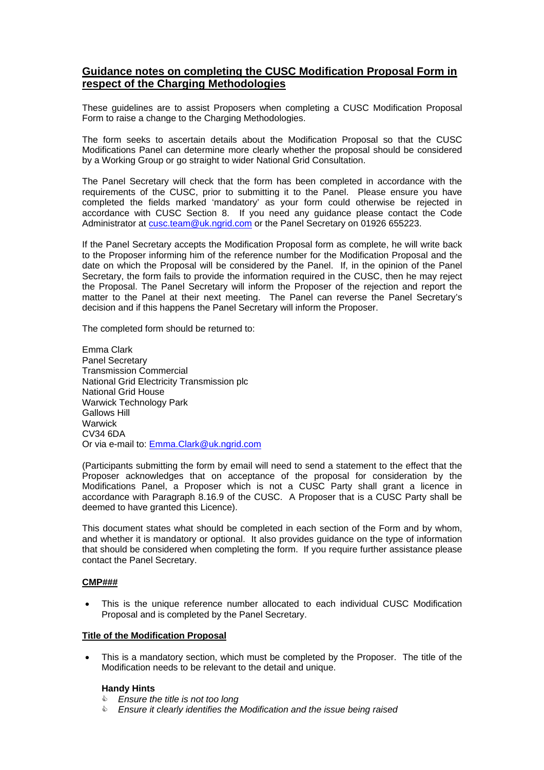# **Guidance notes on completing the CUSC Modification Proposal Form in respect of the Charging Methodologies**

These guidelines are to assist Proposers when completing a CUSC Modification Proposal Form to raise a change to the Charging Methodologies.

The form seeks to ascertain details about the Modification Proposal so that the CUSC Modifications Panel can determine more clearly whether the proposal should be considered by a Working Group or go straight to wider National Grid Consultation.

The Panel Secretary will check that the form has been completed in accordance with the requirements of the CUSC, prior to submitting it to the Panel. Please ensure you have completed the fields marked 'mandatory' as your form could otherwise be rejected in accordance with CUSC Section 8. If you need any guidance please contact the Code Administrator at cusc.team@uk.ngrid.com or the Panel Secretary on 01926 655223.

If the Panel Secretary accepts the Modification Proposal form as complete, he will write back to the Proposer informing him of the reference number for the Modification Proposal and the date on which the Proposal will be considered by the Panel. If, in the opinion of the Panel Secretary, the form fails to provide the information required in the CUSC, then he may reject the Proposal. The Panel Secretary will inform the Proposer of the rejection and report the matter to the Panel at their next meeting. The Panel can reverse the Panel Secretary's decision and if this happens the Panel Secretary will inform the Proposer.

The completed form should be returned to:

Emma Clark Panel Secretary Transmission Commercial National Grid Electricity Transmission plc National Grid House Warwick Technology Park Gallows Hill **Warwick** CV34 6DA Or via e-mail to: Emma.Clark@uk.ngrid.com

(Participants submitting the form by email will need to send a statement to the effect that the Proposer acknowledges that on acceptance of the proposal for consideration by the Modifications Panel, a Proposer which is not a CUSC Party shall grant a licence in accordance with Paragraph 8.16.9 of the CUSC. A Proposer that is a CUSC Party shall be deemed to have granted this Licence).

This document states what should be completed in each section of the Form and by whom, and whether it is mandatory or optional. It also provides guidance on the type of information that should be considered when completing the form. If you require further assistance please contact the Panel Secretary.

#### **CMP###**

• This is the unique reference number allocated to each individual CUSC Modification Proposal and is completed by the Panel Secretary.

#### **Title of the Modification Proposal**

• This is a mandatory section, which must be completed by the Proposer. The title of the Modification needs to be relevant to the detail and unique.

#### **Handy Hints**

- & *Ensure the title is not too long*
- & *Ensure it clearly identifies the Modification and the issue being raised*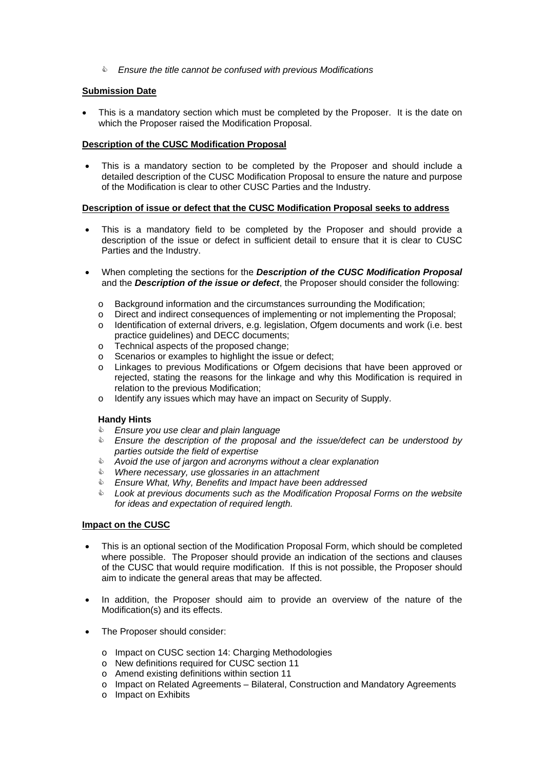& *Ensure the title cannot be confused with previous Modifications* 

## **Submission Date**

This is a mandatory section which must be completed by the Proposer. It is the date on which the Proposer raised the Modification Proposal.

#### **Description of the CUSC Modification Proposal**

This is a mandatory section to be completed by the Proposer and should include a detailed description of the CUSC Modification Proposal to ensure the nature and purpose of the Modification is clear to other CUSC Parties and the Industry.

## **Description of issue or defect that the CUSC Modification Proposal seeks to address**

- This is a mandatory field to be completed by the Proposer and should provide a description of the issue or defect in sufficient detail to ensure that it is clear to CUSC Parties and the Industry.
- When completing the sections for the *Description of the CUSC Modification Proposal*  and the *Description of the issue or defect*, the Proposer should consider the following:
	- o Background information and the circumstances surrounding the Modification;
	- o Direct and indirect consequences of implementing or not implementing the Proposal;
	- o Identification of external drivers, e.g. legislation, Ofgem documents and work (i.e. best practice guidelines) and DECC documents;
	- o Technical aspects of the proposed change;
	- o Scenarios or examples to highlight the issue or defect;
	- o Linkages to previous Modifications or Ofgem decisions that have been approved or rejected, stating the reasons for the linkage and why this Modification is required in relation to the previous Modification;
	- o Identify any issues which may have an impact on Security of Supply.

## **Handy Hints**

- & *Ensure you use clear and plain language*
- & *Ensure the description of the proposal and the issue/defect can be understood by parties outside the field of expertise*
- & *Avoid the use of jargon and acronyms without a clear explanation*
- & *Where necessary, use glossaries in an attachment*
- & *Ensure What, Why, Benefits and Impact have been addressed*
- & *Look at previous documents such as the Modification Proposal Forms on the website for ideas and expectation of required length.*

## **Impact on the CUSC**

- This is an optional section of the Modification Proposal Form, which should be completed where possible. The Proposer should provide an indication of the sections and clauses of the CUSC that would require modification. If this is not possible, the Proposer should aim to indicate the general areas that may be affected.
- In addition, the Proposer should aim to provide an overview of the nature of the Modification(s) and its effects.
- The Proposer should consider:
	- o Impact on CUSC section 14: Charging Methodologies
	- o New definitions required for CUSC section 11
	- o Amend existing definitions within section 11
	- o Impact on Related Agreements Bilateral, Construction and Mandatory Agreements
	- o Impact on Exhibits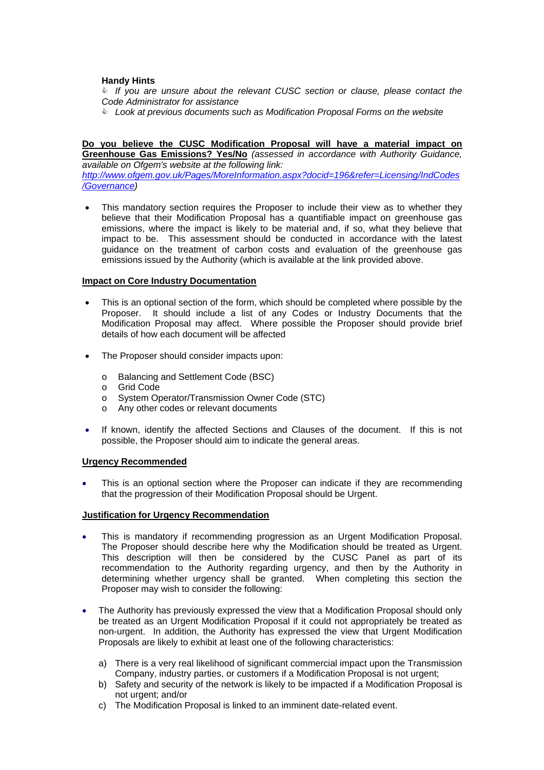## **Handy Hints**

& *If you are unsure about the relevant CUSC section or clause, please contact the Code Administrator for assistance* 

& *Look at previous documents such as Modification Proposal Forms on the website*

# **Do you believe the CUSC Modification Proposal will have a material impact on**

**Greenhouse Gas Emissions? Yes/No** *(assessed in accordance with Authority Guidance, available on Ofgem's website at the following link:* 

*http://www.ofgem.gov.uk/Pages/MoreInformation.aspx?docid=196&refer=Licensing/IndCodes /Governance)* 

This mandatory section requires the Proposer to include their view as to whether they believe that their Modification Proposal has a quantifiable impact on greenhouse gas emissions, where the impact is likely to be material and, if so, what they believe that impact to be. This assessment should be conducted in accordance with the latest guidance on the treatment of carbon costs and evaluation of the greenhouse gas emissions issued by the Authority (which is available at the link provided above.

## **Impact on Core Industry Documentation**

- This is an optional section of the form, which should be completed where possible by the Proposer. It should include a list of any Codes or Industry Documents that the Modification Proposal may affect. Where possible the Proposer should provide brief details of how each document will be affected
- The Proposer should consider impacts upon:
	- o Balancing and Settlement Code (BSC)
	- o Grid Code
	- o System Operator/Transmission Owner Code (STC)
	- o Any other codes or relevant documents
- If known, identify the affected Sections and Clauses of the document. If this is not possible, the Proposer should aim to indicate the general areas.

#### **Urgency Recommended**

This is an optional section where the Proposer can indicate if they are recommending that the progression of their Modification Proposal should be Urgent.

## **Justification for Urgency Recommendation**

- This is mandatory if recommending progression as an Urgent Modification Proposal. The Proposer should describe here why the Modification should be treated as Urgent. This description will then be considered by the CUSC Panel as part of its recommendation to the Authority regarding urgency, and then by the Authority in determining whether urgency shall be granted. When completing this section the Proposer may wish to consider the following:
- The Authority has previously expressed the view that a Modification Proposal should only be treated as an Urgent Modification Proposal if it could not appropriately be treated as non-urgent. In addition, the Authority has expressed the view that Urgent Modification Proposals are likely to exhibit at least one of the following characteristics:
	- a) There is a very real likelihood of significant commercial impact upon the Transmission Company, industry parties, or customers if a Modification Proposal is not urgent;
	- b) Safety and security of the network is likely to be impacted if a Modification Proposal is not urgent; and/or
	- c) The Modification Proposal is linked to an imminent date-related event.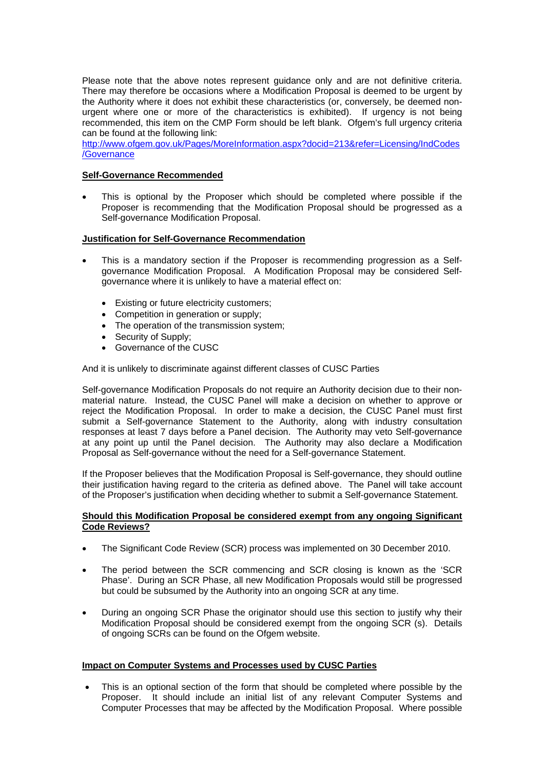Please note that the above notes represent guidance only and are not definitive criteria. There may therefore be occasions where a Modification Proposal is deemed to be urgent by the Authority where it does not exhibit these characteristics (or, conversely, be deemed nonurgent where one or more of the characteristics is exhibited). If urgency is not being recommended, this item on the CMP Form should be left blank. Ofgem's full urgency criteria can be found at the following link:

http://www.ofgem.gov.uk/Pages/MoreInformation.aspx?docid=213&refer=Licensing/IndCodes /Governance

## **Self-Governance Recommended**

This is optional by the Proposer which should be completed where possible if the Proposer is recommending that the Modification Proposal should be progressed as a Self-governance Modification Proposal.

## **Justification for Self-Governance Recommendation**

- This is a mandatory section if the Proposer is recommending progression as a Selfgovernance Modification Proposal. A Modification Proposal may be considered Selfgovernance where it is unlikely to have a material effect on:
	- Existing or future electricity customers;
	- Competition in generation or supply;
	- The operation of the transmission system;
	- Security of Supply;
	- Governance of the CUSC

And it is unlikely to discriminate against different classes of CUSC Parties

Self-governance Modification Proposals do not require an Authority decision due to their nonmaterial nature. Instead, the CUSC Panel will make a decision on whether to approve or reject the Modification Proposal. In order to make a decision, the CUSC Panel must first submit a Self-governance Statement to the Authority, along with industry consultation responses at least 7 days before a Panel decision. The Authority may veto Self-governance at any point up until the Panel decision. The Authority may also declare a Modification Proposal as Self-governance without the need for a Self-governance Statement.

If the Proposer believes that the Modification Proposal is Self-governance, they should outline their justification having regard to the criteria as defined above. The Panel will take account of the Proposer's justification when deciding whether to submit a Self-governance Statement.

#### **Should this Modification Proposal be considered exempt from any ongoing Significant Code Reviews?**

- The Significant Code Review (SCR) process was implemented on 30 December 2010.
- The period between the SCR commencing and SCR closing is known as the 'SCR Phase'. During an SCR Phase, all new Modification Proposals would still be progressed but could be subsumed by the Authority into an ongoing SCR at any time.
- During an ongoing SCR Phase the originator should use this section to justify why their Modification Proposal should be considered exempt from the ongoing SCR (s). Details of ongoing SCRs can be found on the Ofgem website.

#### **Impact on Computer Systems and Processes used by CUSC Parties**

• This is an optional section of the form that should be completed where possible by the Proposer. It should include an initial list of any relevant Computer Systems and Computer Processes that may be affected by the Modification Proposal. Where possible